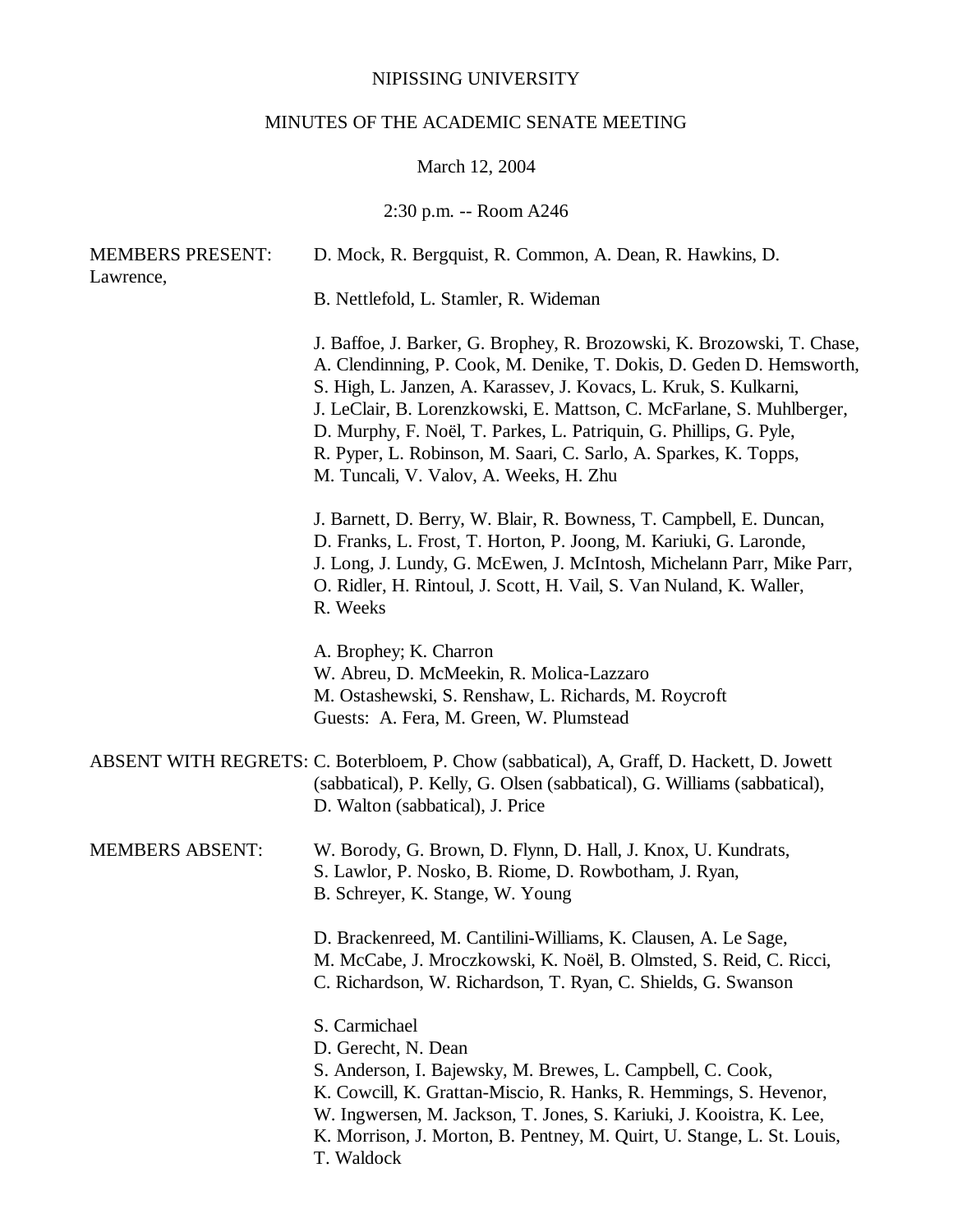# NIPISSING UNIVERSITY

# MINUTES OF THE ACADEMIC SENATE MEETING

# March 12, 2004

# 2:30 p.m. -- Room A246

| <b>MEMBERS PRESENT:</b><br>Lawrence, | D. Mock, R. Bergquist, R. Common, A. Dean, R. Hawkins, D.                                                                                                                                                                                                                                                                                                                                                                                                                         |
|--------------------------------------|-----------------------------------------------------------------------------------------------------------------------------------------------------------------------------------------------------------------------------------------------------------------------------------------------------------------------------------------------------------------------------------------------------------------------------------------------------------------------------------|
|                                      | B. Nettlefold, L. Stamler, R. Wideman                                                                                                                                                                                                                                                                                                                                                                                                                                             |
|                                      | J. Baffoe, J. Barker, G. Brophey, R. Brozowski, K. Brozowski, T. Chase,<br>A. Clendinning, P. Cook, M. Denike, T. Dokis, D. Geden D. Hemsworth,<br>S. High, L. Janzen, A. Karassev, J. Kovacs, L. Kruk, S. Kulkarni,<br>J. LeClair, B. Lorenzkowski, E. Mattson, C. McFarlane, S. Muhlberger,<br>D. Murphy, F. Noël, T. Parkes, L. Patriquin, G. Phillips, G. Pyle,<br>R. Pyper, L. Robinson, M. Saari, C. Sarlo, A. Sparkes, K. Topps,<br>M. Tuncali, V. Valov, A. Weeks, H. Zhu |
|                                      | J. Barnett, D. Berry, W. Blair, R. Bowness, T. Campbell, E. Duncan,<br>D. Franks, L. Frost, T. Horton, P. Joong, M. Kariuki, G. Laronde,<br>J. Long, J. Lundy, G. McEwen, J. McIntosh, Michelann Parr, Mike Parr,<br>O. Ridler, H. Rintoul, J. Scott, H. Vail, S. Van Nuland, K. Waller,<br>R. Weeks                                                                                                                                                                              |
|                                      | A. Brophey; K. Charron<br>W. Abreu, D. McMeekin, R. Molica-Lazzaro<br>M. Ostashewski, S. Renshaw, L. Richards, M. Roycroft<br>Guests: A. Fera, M. Green, W. Plumstead                                                                                                                                                                                                                                                                                                             |
|                                      | ABSENT WITH REGRETS: C. Boterbloem, P. Chow (sabbatical), A, Graff, D. Hackett, D. Jowett<br>(sabbatical), P. Kelly, G. Olsen (sabbatical), G. Williams (sabbatical),<br>D. Walton (sabbatical), J. Price                                                                                                                                                                                                                                                                         |
| <b>MEMBERS ABSENT:</b>               | W. Borody, G. Brown, D. Flynn, D. Hall, J. Knox, U. Kundrats,<br>S. Lawlor, P. Nosko, B. Riome, D. Rowbotham, J. Ryan,<br>B. Schreyer, K. Stange, W. Young                                                                                                                                                                                                                                                                                                                        |
|                                      | D. Brackenreed, M. Cantilini-Williams, K. Clausen, A. Le Sage,<br>M. McCabe, J. Mroczkowski, K. Noël, B. Olmsted, S. Reid, C. Ricci,<br>C. Richardson, W. Richardson, T. Ryan, C. Shields, G. Swanson                                                                                                                                                                                                                                                                             |
|                                      | S. Carmichael<br>D. Gerecht, N. Dean<br>S. Anderson, I. Bajewsky, M. Brewes, L. Campbell, C. Cook,<br>K. Cowcill, K. Grattan-Miscio, R. Hanks, R. Hemmings, S. Hevenor,<br>W. Ingwersen, M. Jackson, T. Jones, S. Kariuki, J. Kooistra, K. Lee,<br>K. Morrison, J. Morton, B. Pentney, M. Quirt, U. Stange, L. St. Louis,<br>T. Waldock                                                                                                                                           |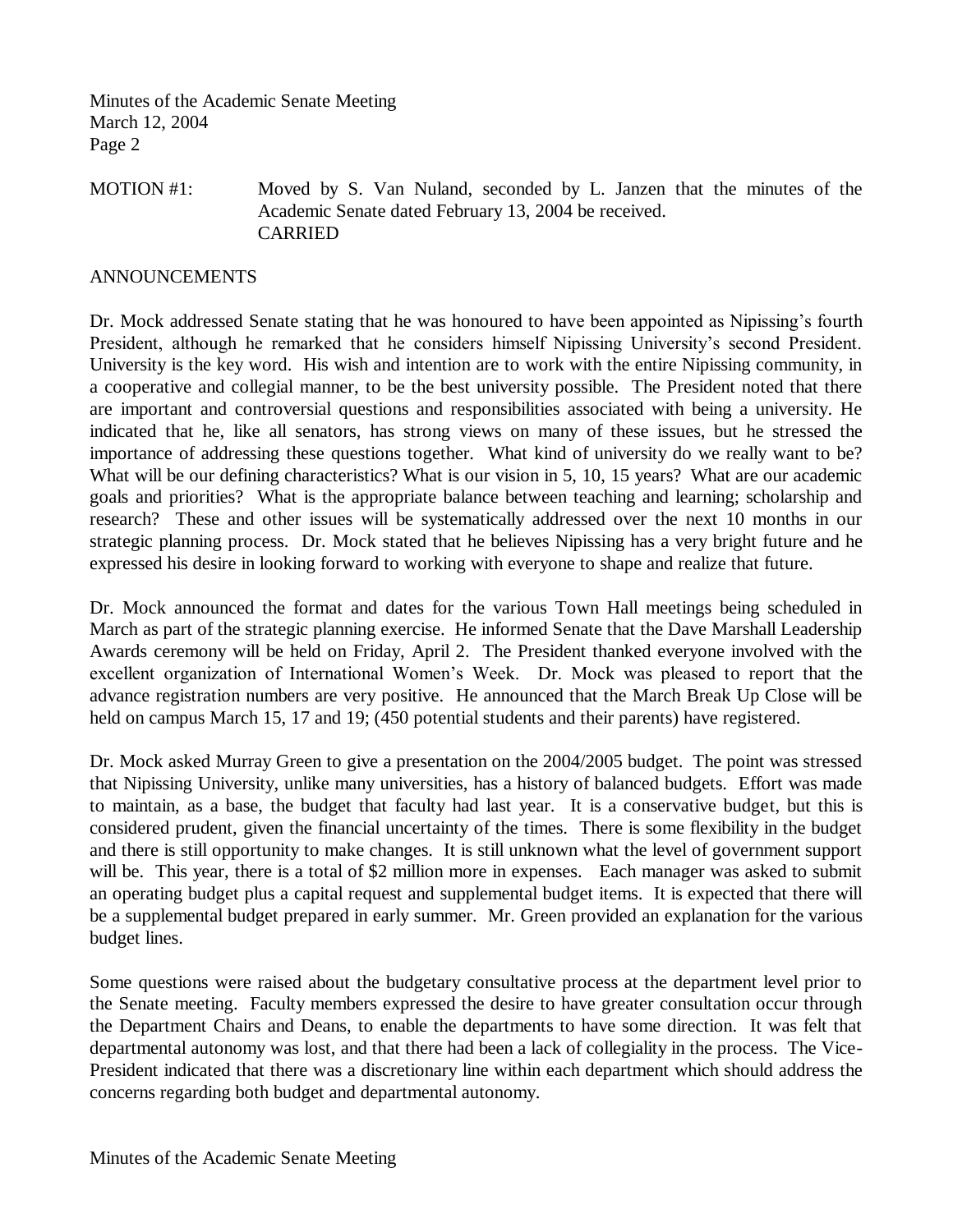Minutes of the Academic Senate Meeting March 12, 2004 Page 2

# MOTION #1: Moved by S. Van Nuland, seconded by L. Janzen that the minutes of the Academic Senate dated February 13, 2004 be received. CARRIED

#### ANNOUNCEMENTS

Dr. Mock addressed Senate stating that he was honoured to have been appointed as Nipissing's fourth President, although he remarked that he considers himself Nipissing University's second President. University is the key word. His wish and intention are to work with the entire Nipissing community, in a cooperative and collegial manner, to be the best university possible. The President noted that there are important and controversial questions and responsibilities associated with being a university. He indicated that he, like all senators, has strong views on many of these issues, but he stressed the importance of addressing these questions together. What kind of university do we really want to be? What will be our defining characteristics? What is our vision in 5, 10, 15 years? What are our academic goals and priorities? What is the appropriate balance between teaching and learning; scholarship and research? These and other issues will be systematically addressed over the next 10 months in our strategic planning process. Dr. Mock stated that he believes Nipissing has a very bright future and he expressed his desire in looking forward to working with everyone to shape and realize that future.

Dr. Mock announced the format and dates for the various Town Hall meetings being scheduled in March as part of the strategic planning exercise. He informed Senate that the Dave Marshall Leadership Awards ceremony will be held on Friday, April 2. The President thanked everyone involved with the excellent organization of International Women's Week. Dr. Mock was pleased to report that the advance registration numbers are very positive. He announced that the March Break Up Close will be held on campus March 15, 17 and 19; (450 potential students and their parents) have registered.

Dr. Mock asked Murray Green to give a presentation on the 2004/2005 budget. The point was stressed that Nipissing University, unlike many universities, has a history of balanced budgets. Effort was made to maintain, as a base, the budget that faculty had last year. It is a conservative budget, but this is considered prudent, given the financial uncertainty of the times. There is some flexibility in the budget and there is still opportunity to make changes. It is still unknown what the level of government support will be. This year, there is a total of \$2 million more in expenses. Each manager was asked to submit an operating budget plus a capital request and supplemental budget items. It is expected that there will be a supplemental budget prepared in early summer. Mr. Green provided an explanation for the various budget lines.

Some questions were raised about the budgetary consultative process at the department level prior to the Senate meeting. Faculty members expressed the desire to have greater consultation occur through the Department Chairs and Deans, to enable the departments to have some direction. It was felt that departmental autonomy was lost, and that there had been a lack of collegiality in the process. The Vice-President indicated that there was a discretionary line within each department which should address the concerns regarding both budget and departmental autonomy.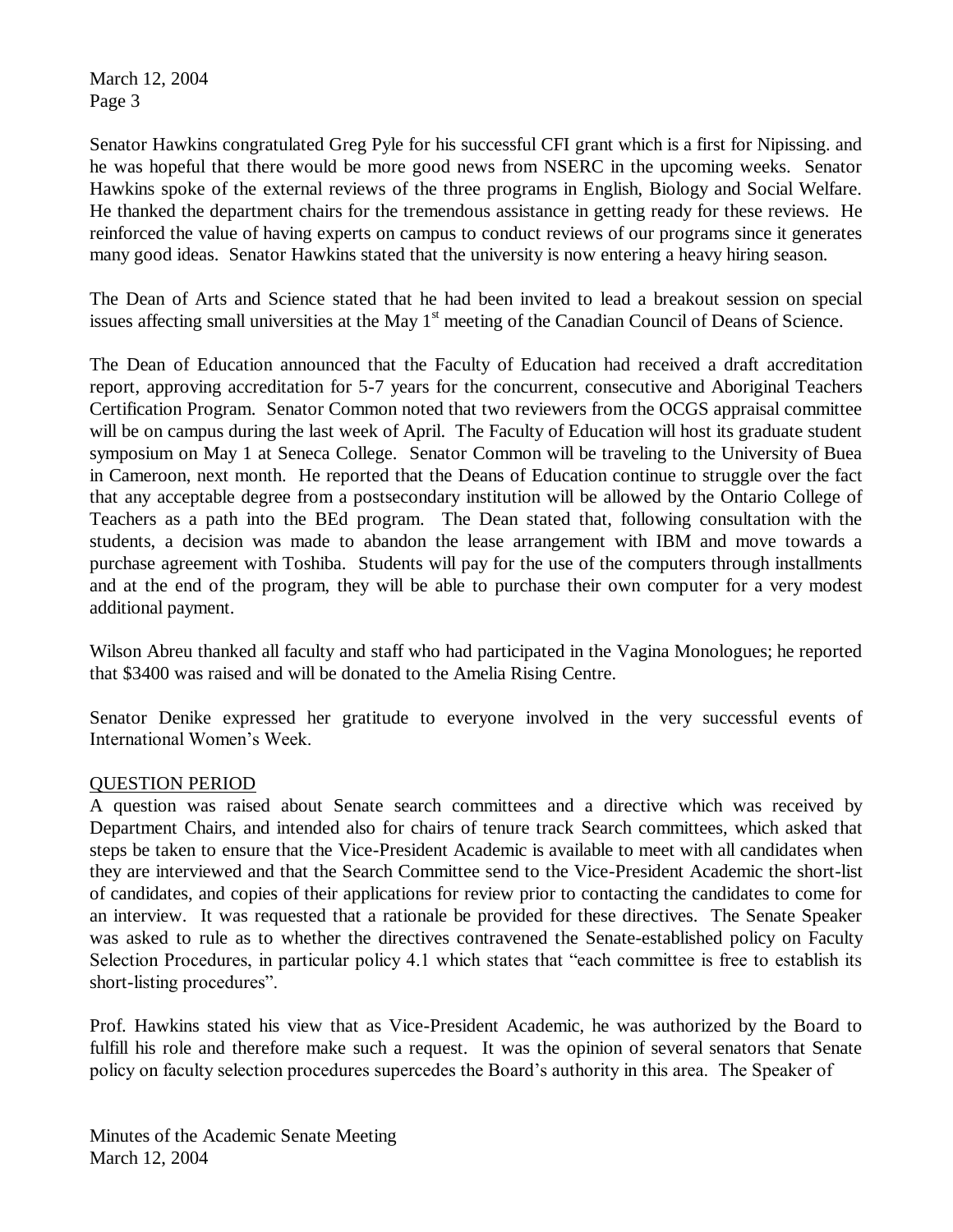March 12, 2004 Page 3

Senator Hawkins congratulated Greg Pyle for his successful CFI grant which is a first for Nipissing. and he was hopeful that there would be more good news from NSERC in the upcoming weeks. Senator Hawkins spoke of the external reviews of the three programs in English, Biology and Social Welfare. He thanked the department chairs for the tremendous assistance in getting ready for these reviews. He reinforced the value of having experts on campus to conduct reviews of our programs since it generates many good ideas. Senator Hawkins stated that the university is now entering a heavy hiring season.

The Dean of Arts and Science stated that he had been invited to lead a breakout session on special issues affecting small universities at the May  $1<sup>st</sup>$  meeting of the Canadian Council of Deans of Science.

The Dean of Education announced that the Faculty of Education had received a draft accreditation report, approving accreditation for 5-7 years for the concurrent, consecutive and Aboriginal Teachers Certification Program. Senator Common noted that two reviewers from the OCGS appraisal committee will be on campus during the last week of April. The Faculty of Education will host its graduate student symposium on May 1 at Seneca College. Senator Common will be traveling to the University of Buea in Cameroon, next month. He reported that the Deans of Education continue to struggle over the fact that any acceptable degree from a postsecondary institution will be allowed by the Ontario College of Teachers as a path into the BEd program. The Dean stated that, following consultation with the students, a decision was made to abandon the lease arrangement with IBM and move towards a purchase agreement with Toshiba. Students will pay for the use of the computers through installments and at the end of the program, they will be able to purchase their own computer for a very modest additional payment.

Wilson Abreu thanked all faculty and staff who had participated in the Vagina Monologues; he reported that \$3400 was raised and will be donated to the Amelia Rising Centre.

Senator Denike expressed her gratitude to everyone involved in the very successful events of International Women's Week.

# QUESTION PERIOD

A question was raised about Senate search committees and a directive which was received by Department Chairs, and intended also for chairs of tenure track Search committees, which asked that steps be taken to ensure that the Vice-President Academic is available to meet with all candidates when they are interviewed and that the Search Committee send to the Vice-President Academic the short-list of candidates, and copies of their applications for review prior to contacting the candidates to come for an interview. It was requested that a rationale be provided for these directives. The Senate Speaker was asked to rule as to whether the directives contravened the Senate-established policy on Faculty Selection Procedures, in particular policy 4.1 which states that "each committee is free to establish its short-listing procedures".

Prof. Hawkins stated his view that as Vice-President Academic, he was authorized by the Board to fulfill his role and therefore make such a request. It was the opinion of several senators that Senate policy on faculty selection procedures supercedes the Board's authority in this area. The Speaker of

Minutes of the Academic Senate Meeting March 12, 2004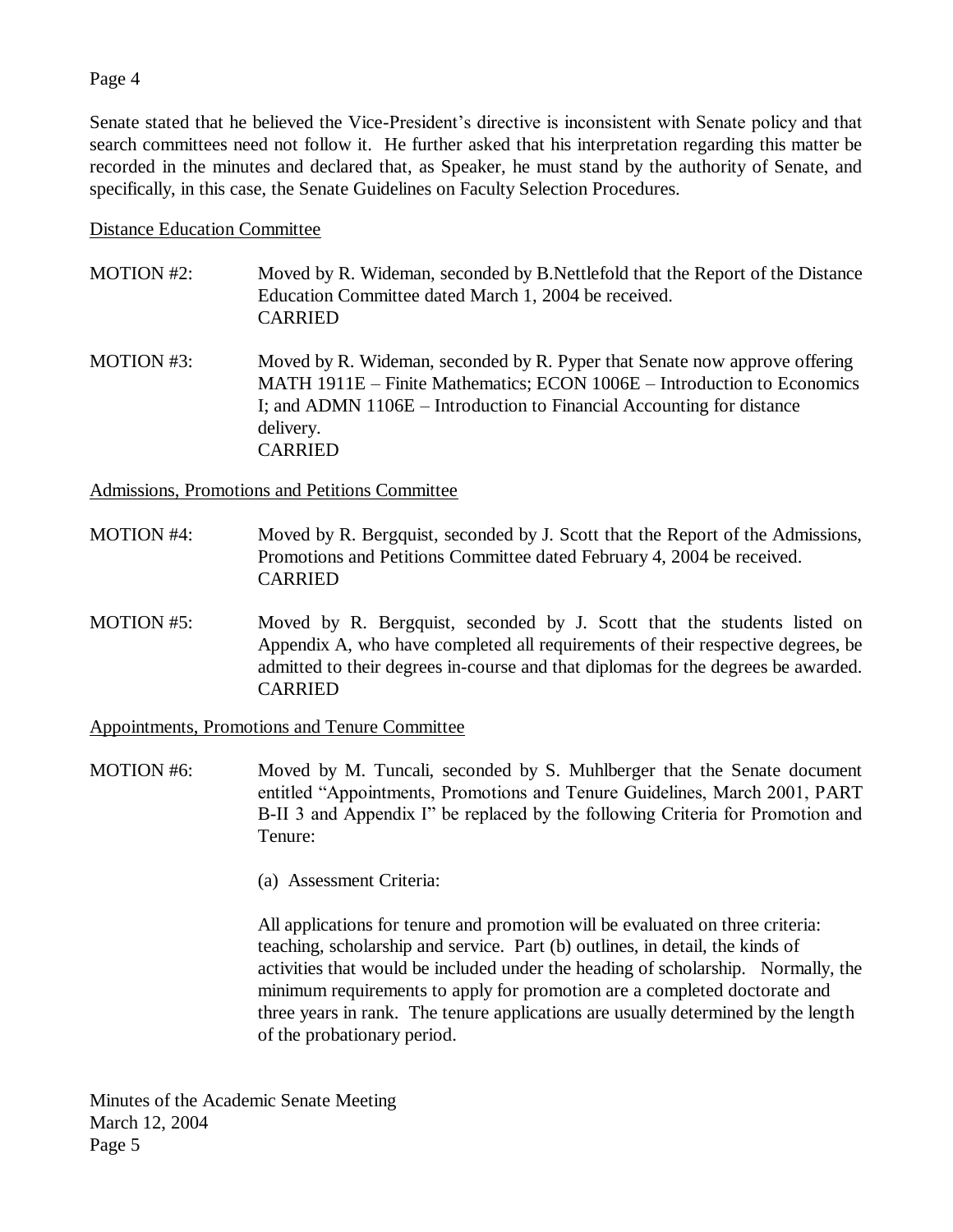### Page 4

Senate stated that he believed the Vice-President's directive is inconsistent with Senate policy and that search committees need not follow it. He further asked that his interpretation regarding this matter be recorded in the minutes and declared that, as Speaker, he must stand by the authority of Senate, and specifically, in this case, the Senate Guidelines on Faculty Selection Procedures.

#### Distance Education Committee

- MOTION #2: Moved by R. Wideman, seconded by B. Nettlefold that the Report of the Distance Education Committee dated March 1, 2004 be received. CARRIED
- MOTION #3: Moved by R. Wideman, seconded by R. Pyper that Senate now approve offering MATH 1911E – Finite Mathematics; ECON 1006E – Introduction to Economics I; and ADMN 1106E – Introduction to Financial Accounting for distance delivery. CARRIED

Admissions, Promotions and Petitions Committee

- MOTION #4: Moved by R. Bergquist, seconded by J. Scott that the Report of the Admissions, Promotions and Petitions Committee dated February 4, 2004 be received. CARRIED
- MOTION #5: Moved by R. Bergquist, seconded by J. Scott that the students listed on Appendix A, who have completed all requirements of their respective degrees, be admitted to their degrees in-course and that diplomas for the degrees be awarded. CARRIED

Appointments, Promotions and Tenure Committee

- MOTION #6: Moved by M. Tuncali, seconded by S. Muhlberger that the Senate document entitled "Appointments, Promotions and Tenure Guidelines, March 2001, PART B-II 3 and Appendix I" be replaced by the following Criteria for Promotion and Tenure:
	- (a) Assessment Criteria:

All applications for tenure and promotion will be evaluated on three criteria: teaching, scholarship and service. Part (b) outlines, in detail, the kinds of activities that would be included under the heading of scholarship. Normally, the minimum requirements to apply for promotion are a completed doctorate and three years in rank. The tenure applications are usually determined by the length of the probationary period.

Minutes of the Academic Senate Meeting March 12, 2004 Page 5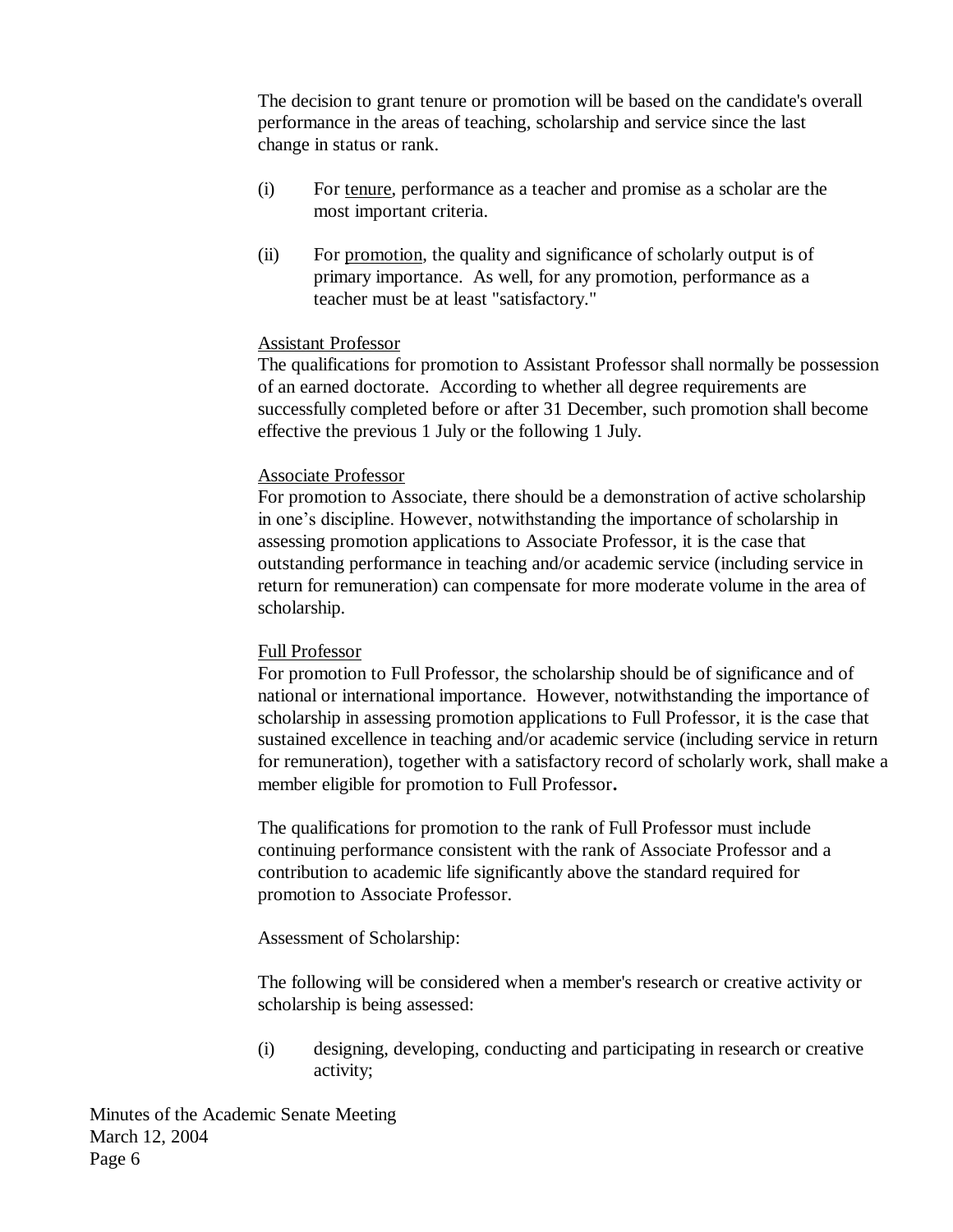The decision to grant tenure or promotion will be based on the candidate's overall performance in the areas of teaching, scholarship and service since the last change in status or rank.

- (i) For tenure, performance as a teacher and promise as a scholar are the most important criteria.
- (ii) For promotion, the quality and significance of scholarly output is of primary importance. As well, for any promotion, performance as a teacher must be at least "satisfactory."

### Assistant Professor

The qualifications for promotion to Assistant Professor shall normally be possession of an earned doctorate. According to whether all degree requirements are successfully completed before or after 31 December, such promotion shall become effective the previous 1 July or the following 1 July.

## Associate Professor

For promotion to Associate, there should be a demonstration of active scholarship in one's discipline. However, notwithstanding the importance of scholarship in assessing promotion applications to Associate Professor, it is the case that outstanding performance in teaching and/or academic service (including service in return for remuneration) can compensate for more moderate volume in the area of scholarship.

### Full Professor

For promotion to Full Professor, the scholarship should be of significance and of national or international importance. However, notwithstanding the importance of scholarship in assessing promotion applications to Full Professor, it is the case that sustained excellence in teaching and/or academic service (including service in return for remuneration), together with a satisfactory record of scholarly work, shall make a member eligible for promotion to Full Professor**.**

The qualifications for promotion to the rank of Full Professor must include continuing performance consistent with the rank of Associate Professor and a contribution to academic life significantly above the standard required for promotion to Associate Professor.

### Assessment of Scholarship:

The following will be considered when a member's research or creative activity or scholarship is being assessed:

(i) designing, developing, conducting and participating in research or creative activity;

Minutes of the Academic Senate Meeting March 12, 2004 Page 6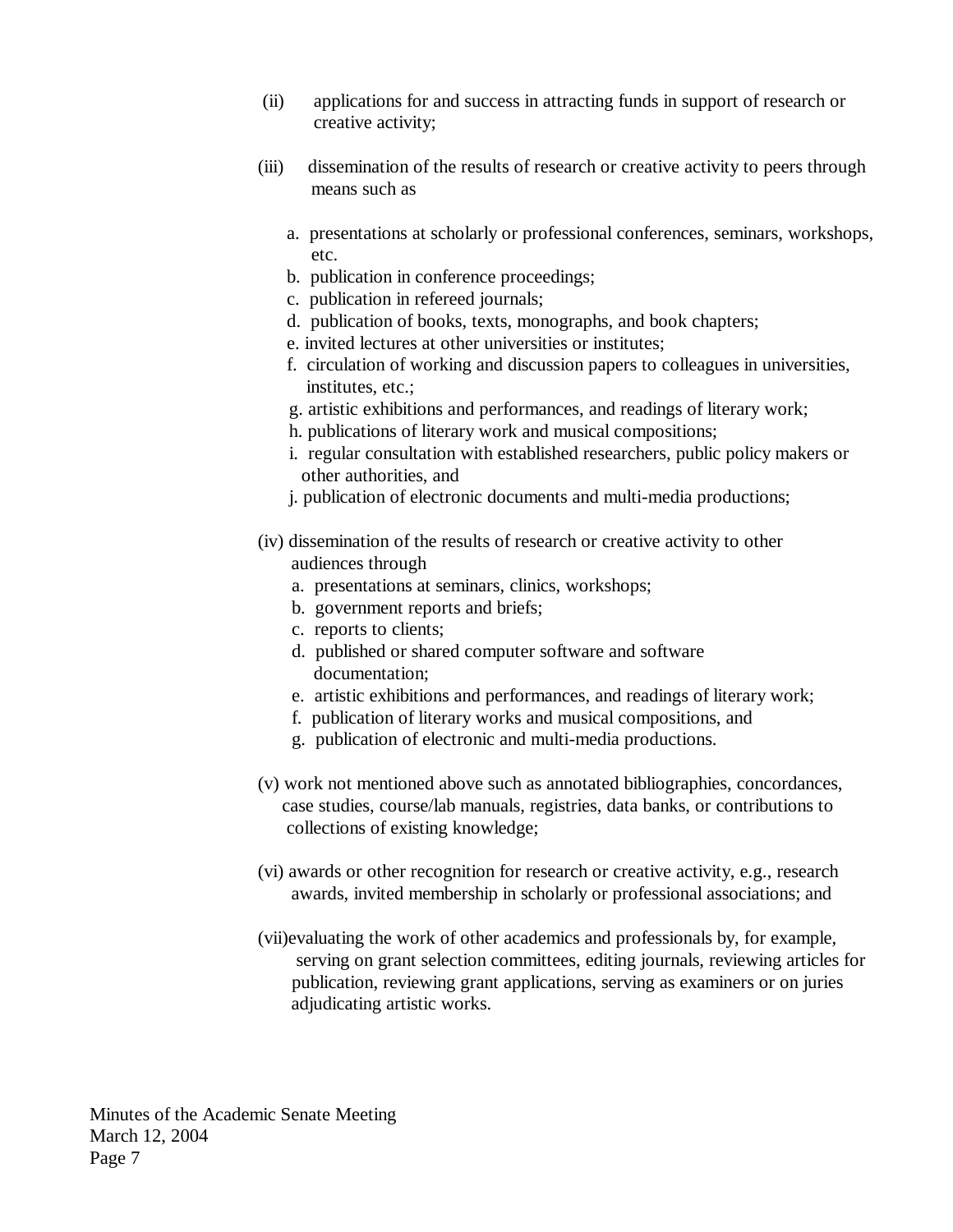- (ii) applications for and success in attracting funds in support of research or creative activity;
- (iii) dissemination of the results of research or creative activity to peers through means such as
	- a. presentations at scholarly or professional conferences, seminars, workshops, etc.
	- b. publication in conference proceedings;
	- c. publication in refereed journals;
	- d. publication of books, texts, monographs, and book chapters;
	- e. invited lectures at other universities or institutes;
	- f. circulation of working and discussion papers to colleagues in universities, institutes, etc.;
	- g. artistic exhibitions and performances, and readings of literary work;
	- h. publications of literary work and musical compositions;
	- i. regular consultation with established researchers, public policy makers or other authorities, and
	- j. publication of electronic documents and multi-media productions;
- (iv) dissemination of the results of research or creative activity to other audiences through
	- a. presentations at seminars, clinics, workshops;
	- b. government reports and briefs;
	- c. reports to clients;
	- d. published or shared computer software and software documentation;
	- e. artistic exhibitions and performances, and readings of literary work;
	- f. publication of literary works and musical compositions, and
	- g. publication of electronic and multi-media productions.
- (v) work not mentioned above such as annotated bibliographies, concordances, case studies, course/lab manuals, registries, data banks, or contributions to collections of existing knowledge;
- (vi) awards or other recognition for research or creative activity, e.g., research awards, invited membership in scholarly or professional associations; and
- (vii)evaluating the work of other academics and professionals by, for example, serving on grant selection committees, editing journals, reviewing articles for publication, reviewing grant applications, serving as examiners or on juries adjudicating artistic works.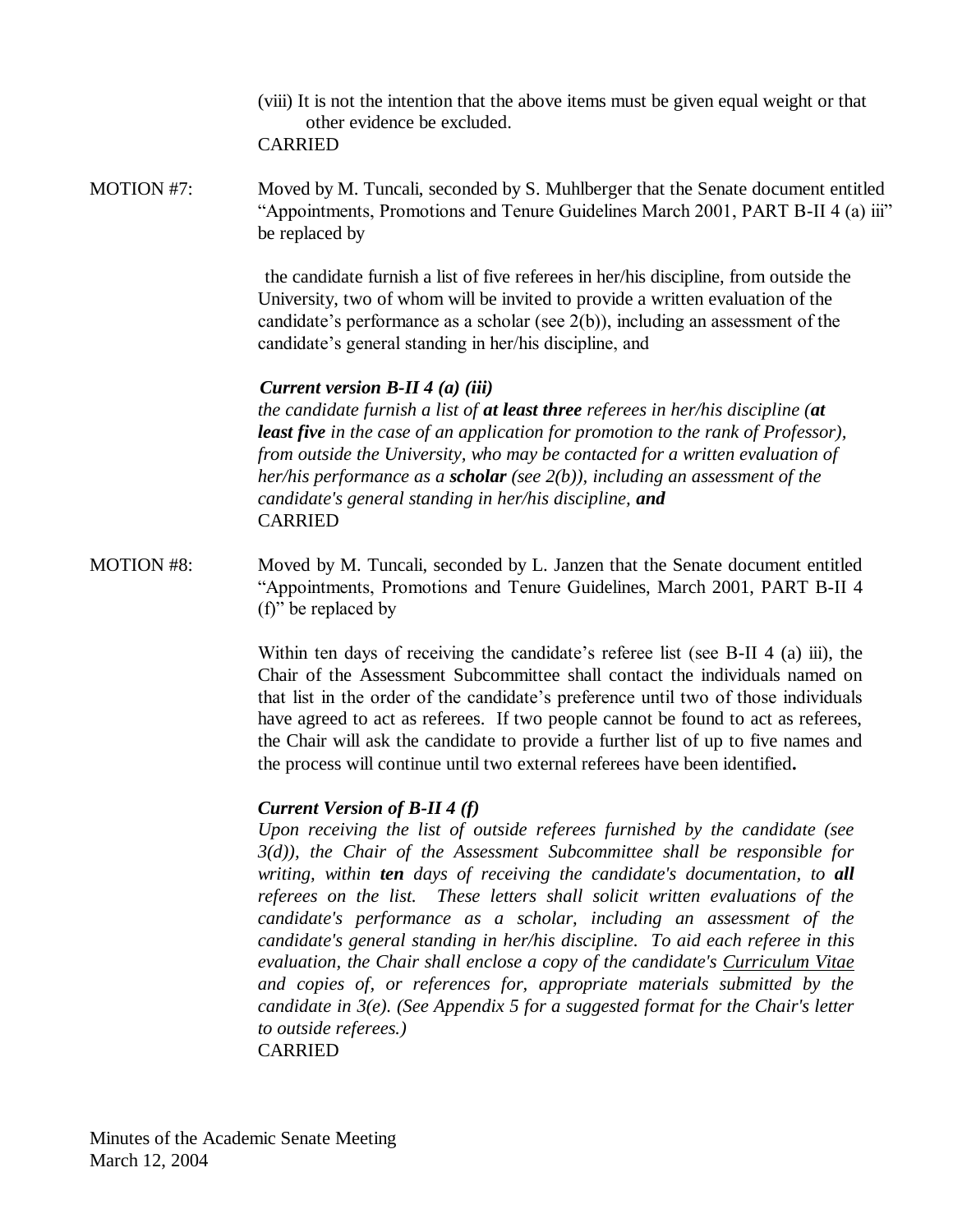(viii) It is not the intention that the above items must be given equal weight or that other evidence be excluded. CARRIED

MOTION #7: Moved by M. Tuncali, seconded by S. Muhlberger that the Senate document entitled "Appointments, Promotions and Tenure Guidelines March 2001, PART B-II 4 (a) iii" be replaced by

> the candidate furnish a list of five referees in her/his discipline, from outside the University, two of whom will be invited to provide a written evaluation of the candidate's performance as a scholar (see 2(b)), including an assessment of the candidate's general standing in her/his discipline, and

## *Current version B-II 4 (a) (iii)*

*the candidate furnish a list of at least three referees in her/his discipline (at least five in the case of an application for promotion to the rank of Professor), from outside the University, who may be contacted for a written evaluation of her/his performance as a scholar (see 2(b)), including an assessment of the candidate's general standing in her/his discipline, and* CARRIED

MOTION #8: Moved by M. Tuncali, seconded by L. Janzen that the Senate document entitled "Appointments, Promotions and Tenure Guidelines, March 2001, PART B-II 4 (f)" be replaced by

> Within ten days of receiving the candidate's referee list (see B-II 4 (a) iii), the Chair of the Assessment Subcommittee shall contact the individuals named on that list in the order of the candidate's preference until two of those individuals have agreed to act as referees. If two people cannot be found to act as referees, the Chair will ask the candidate to provide a further list of up to five names and the process will continue until two external referees have been identified**.**

# *Current Version of B-II 4 (f)*

*Upon receiving the list of outside referees furnished by the candidate (see 3(d)), the Chair of the Assessment Subcommittee shall be responsible for writing, within ten days of receiving the candidate's documentation, to all referees on the list. These letters shall solicit written evaluations of the candidate's performance as a scholar, including an assessment of the candidate's general standing in her/his discipline. To aid each referee in this evaluation, the Chair shall enclose a copy of the candidate's Curriculum Vitae and copies of, or references for, appropriate materials submitted by the candidate in 3(e). (See Appendix 5 for a suggested format for the Chair's letter to outside referees.)* CARRIED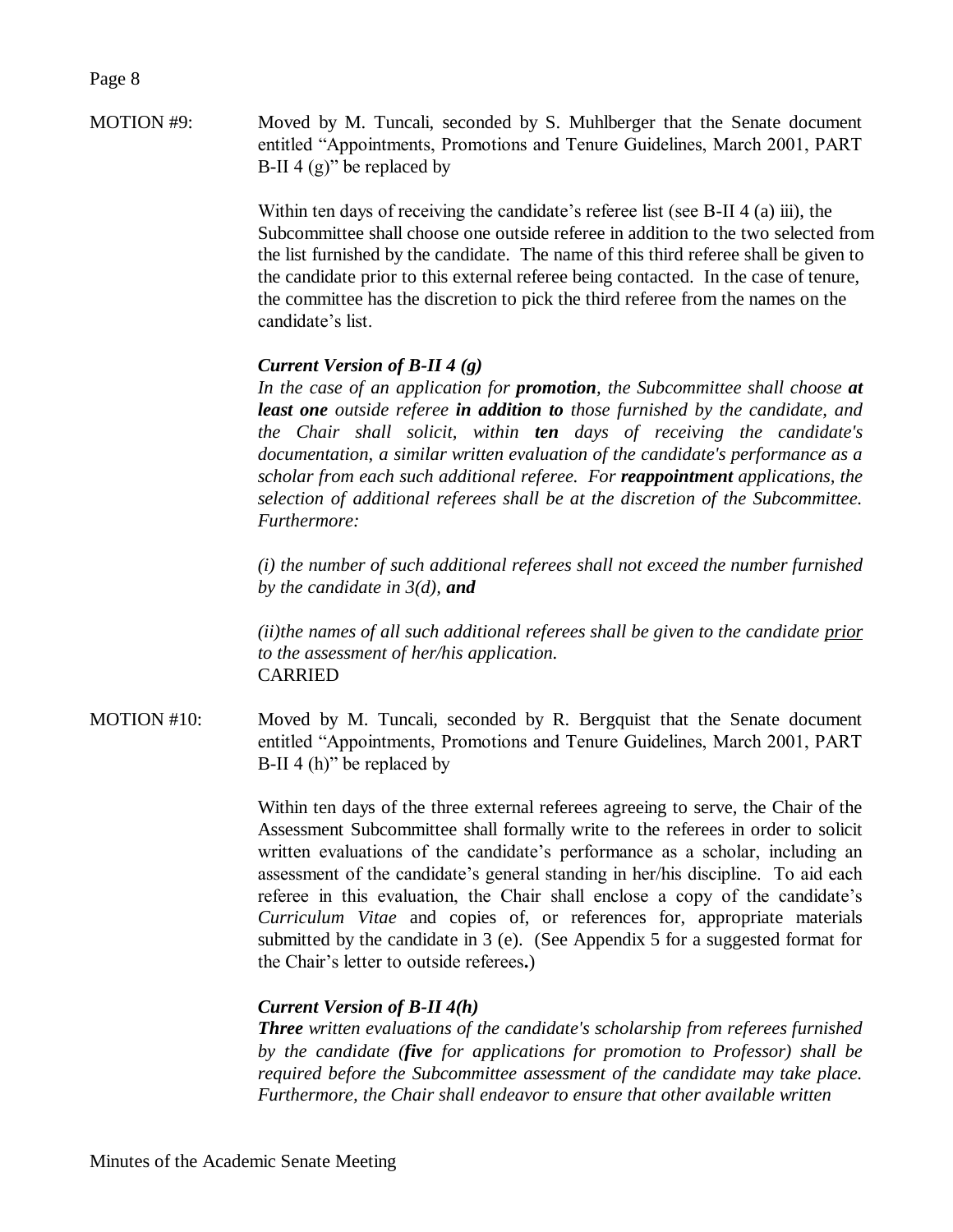Page 8

MOTION #9: Moved by M. Tuncali, seconded by S. Muhlberger that the Senate document entitled "Appointments, Promotions and Tenure Guidelines, March 2001, PART B-II 4  $(g)$ " be replaced by

> Within ten days of receiving the candidate's referee list (see B-II 4 (a) iii), the Subcommittee shall choose one outside referee in addition to the two selected from the list furnished by the candidate. The name of this third referee shall be given to the candidate prior to this external referee being contacted. In the case of tenure, the committee has the discretion to pick the third referee from the names on the candidate's list.

# *Current Version of B-II 4 (g)*

*In the case of an application for promotion, the Subcommittee shall choose at least one outside referee in addition to those furnished by the candidate, and the Chair shall solicit, within ten days of receiving the candidate's documentation, a similar written evaluation of the candidate's performance as a scholar from each such additional referee. For reappointment applications, the selection of additional referees shall be at the discretion of the Subcommittee. Furthermore:*

*(i) the number of such additional referees shall not exceed the number furnished by the candidate in 3(d), and*

*(ii)the names of all such additional referees shall be given to the candidate prior to the assessment of her/his application.* CARRIED

MOTION #10: Moved by M. Tuncali, seconded by R. Bergquist that the Senate document entitled "Appointments, Promotions and Tenure Guidelines, March 2001, PART B-II 4 (h)" be replaced by

> Within ten days of the three external referees agreeing to serve, the Chair of the Assessment Subcommittee shall formally write to the referees in order to solicit written evaluations of the candidate's performance as a scholar, including an assessment of the candidate's general standing in her/his discipline. To aid each referee in this evaluation, the Chair shall enclose a copy of the candidate's *Curriculum Vitae* and copies of, or references for, appropriate materials submitted by the candidate in 3 (e). (See Appendix 5 for a suggested format for the Chair's letter to outside referees**.**)

### *Current Version of B-II 4(h)*

*Three written evaluations of the candidate's scholarship from referees furnished by the candidate (five for applications for promotion to Professor) shall be required before the Subcommittee assessment of the candidate may take place. Furthermore, the Chair shall endeavor to ensure that other available written*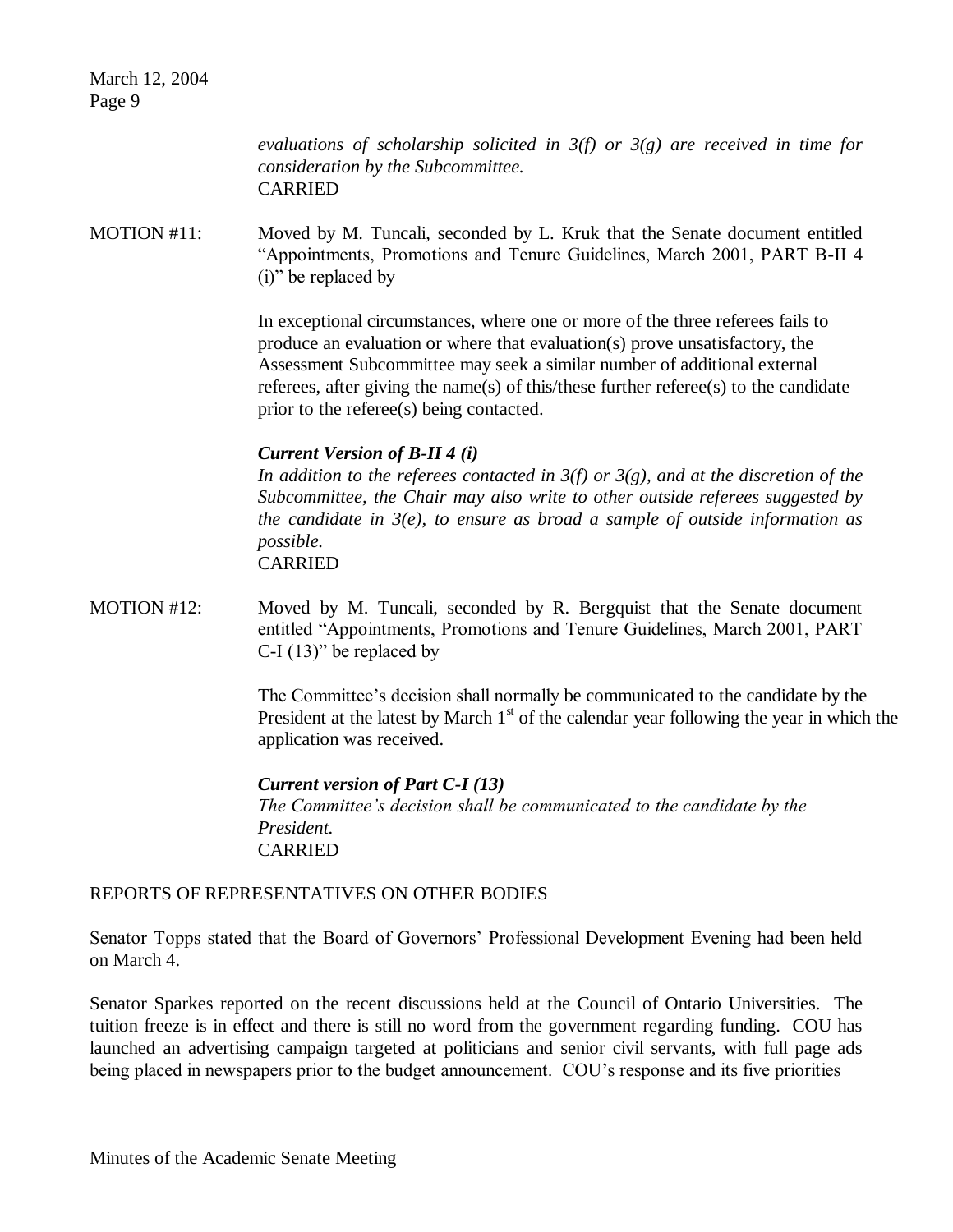March 12, 2004 Page 9

> *evaluations of scholarship solicited in 3(f) or 3(g) are received in time for consideration by the Subcommittee.* CARRIED

MOTION #11: Moved by M. Tuncali, seconded by L. Kruk that the Senate document entitled "Appointments, Promotions and Tenure Guidelines, March 2001, PART B-II 4 (i)" be replaced by

> In exceptional circumstances, where one or more of the three referees fails to produce an evaluation or where that evaluation(s) prove unsatisfactory, the Assessment Subcommittee may seek a similar number of additional external referees, after giving the name(s) of this/these further referee(s) to the candidate prior to the referee(s) being contacted.

### *Current Version of B-II 4 (i)*

*In addition to the referees contacted in 3(f) or 3(g), and at the discretion of the Subcommittee, the Chair may also write to other outside referees suggested by the candidate in 3(e), to ensure as broad a sample of outside information as possible.* CARRIED

MOTION #12: Moved by M. Tuncali, seconded by R. Bergquist that the Senate document entitled "Appointments, Promotions and Tenure Guidelines, March 2001, PART C-I  $(13)$ " be replaced by

> The Committee's decision shall normally be communicated to the candidate by the President at the latest by March  $1<sup>st</sup>$  of the calendar year following the year in which the application was received.

*Current version of Part C-I (13) The Committee's decision shall be communicated to the candidate by the President.* CARRIED

# REPORTS OF REPRESENTATIVES ON OTHER BODIES

Senator Topps stated that the Board of Governors' Professional Development Evening had been held on March 4.

Senator Sparkes reported on the recent discussions held at the Council of Ontario Universities. The tuition freeze is in effect and there is still no word from the government regarding funding. COU has launched an advertising campaign targeted at politicians and senior civil servants, with full page ads being placed in newspapers prior to the budget announcement. COU's response and its five priorities